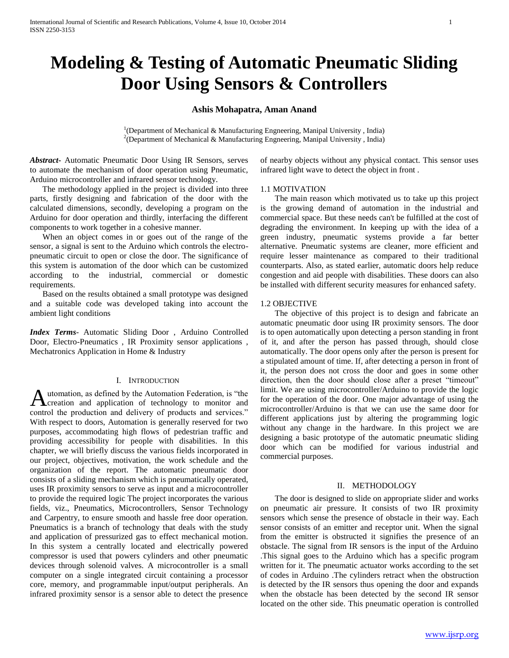# **Modeling & Testing of Automatic Pneumatic Sliding Door Using Sensors & Controllers**

# **Ashis Mohapatra, Aman Anand**

<sup>1</sup>(Department of Mechanical & Manufacturing Engneering, Manipal University, India) <sup>2</sup>(Department of Mechanical & Manufacturing Engneering, Manipal University, India)

*Abstract***-** Automatic Pneumatic Door Using IR Sensors, serves to automate the mechanism of door operation using Pneumatic, Arduino microcontroller and infrared sensor technology.

 The methodology applied in the project is divided into three parts, firstly designing and fabrication of the door with the calculated dimensions, secondly, developing a program on the Arduino for door operation and thirdly, interfacing the different components to work together in a cohesive manner.

 When an object comes in or goes out of the range of the sensor, a signal is sent to the Arduino which controls the electropneumatic circuit to open or close the door. The significance of this system is automation of the door which can be customized according to the industrial, commercial or domestic requirements.

 Based on the results obtained a small prototype was designed and a suitable code was developed taking into account the ambient light conditions

*Index Terms*- Automatic Sliding Door , Arduino Controlled Door, Electro-Pneumatics , IR Proximity sensor applications , Mechatronics Application in Home & Industry

## I. INTRODUCTION

utomation, as defined by the Automation Federation, is "the Automation, as defined by the Automation Federation, is "the<br>
creation and application of technology to monitor and control the production and delivery of products and services." With respect to doors, Automation is generally reserved for two purposes, accommodating high flows of pedestrian traffic and providing accessibility for people with disabilities. In this chapter, we will briefly discuss the various fields incorporated in our project, objectives, motivation, the work schedule and the organization of the report. The automatic pneumatic door consists of a sliding mechanism which is pneumatically operated, uses IR proximity sensors to serve as input and a microcontroller to provide the required logic The project incorporates the various fields, viz., Pneumatics, Microcontrollers, Sensor Technology and Carpentry, to ensure smooth and hassle free door operation. Pneumatics is a branch of technology that deals with the study and application of pressurized gas to effect mechanical motion. In this system a centrally located and electrically powered compressor is used that powers cylinders and other pneumatic devices through solenoid valves. A microcontroller is a small computer on a single integrated circuit containing a processor core, memory, and programmable input/output peripherals. An infrared proximity sensor is a sensor able to detect the presence

of nearby objects without any physical contact. This sensor uses infrared light wave to detect the object in front .

#### 1.1 MOTIVATION

 The main reason which motivated us to take up this project is the growing demand of automation in the industrial and commercial space. But these needs can't be fulfilled at the cost of degrading the environment. In keeping up with the idea of a green industry, pneumatic systems provide a far better alternative. Pneumatic systems are cleaner, more efficient and require lesser maintenance as compared to their traditional counterparts. Also, as stated earlier, automatic doors help reduce congestion and aid people with disabilities. These doors can also be installed with different security measures for enhanced safety.

#### 1.2 OBJECTIVE

 The objective of this project is to design and fabricate an automatic pneumatic door using IR proximity sensors. The door is to open automatically upon detecting a person standing in front of it, and after the person has passed through, should close automatically. The door opens only after the person is present for a stipulated amount of time. If, after detecting a person in front of it, the person does not cross the door and goes in some other direction, then the door should close after a preset "timeout" limit. We are using microcontroller/Arduino to provide the logic for the operation of the door. One major advantage of using the microcontroller/Arduino is that we can use the same door for different applications just by altering the programming logic without any change in the hardware. In this project we are designing a basic prototype of the automatic pneumatic sliding door which can be modified for various industrial and commercial purposes.

#### II. METHODOLOGY

 The door is designed to slide on appropriate slider and works on pneumatic air pressure. It consists of two IR proximity sensors which sense the presence of obstacle in their way. Each sensor consists of an emitter and receptor unit. When the signal from the emitter is obstructed it signifies the presence of an obstacle. The signal from IR sensors is the input of the Arduino .This signal goes to the Arduino which has a specific program written for it. The pneumatic actuator works according to the set of codes in Arduino .The cylinders retract when the obstruction is detected by the IR sensors thus opening the door and expands when the obstacle has been detected by the second IR sensor located on the other side. This pneumatic operation is controlled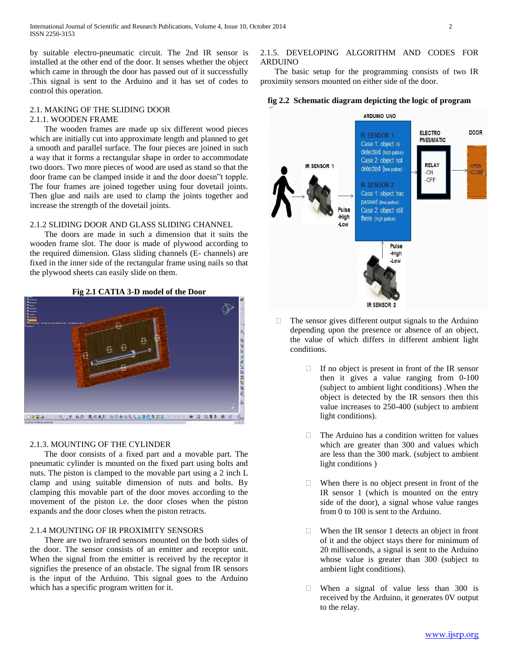by suitable electro-pneumatic circuit. The 2nd IR sensor is installed at the other end of the door. It senses whether the object which came in through the door has passed out of it successfully .This signal is sent to the Arduino and it has set of codes to control this operation.

# 2.1. MAKING OF THE SLIDING DOOR

# 2.1.1. WOODEN FRAME

 The wooden frames are made up six different wood pieces which are initially cut into approximate length and planned to get a smooth and parallel surface. The four pieces are joined in such a way that it forms a rectangular shape in order to accommodate two doors. Two more pieces of wood are used as stand so that the door frame can be clamped inside it and the door doesn"t topple. The four frames are joined together using four dovetail joints. Then glue and nails are used to clamp the joints together and increase the strength of the dovetail joints.

# 2.1.2 SLIDING DOOR AND GLASS SLIDING CHANNEL

 The doors are made in such a dimension that it suits the wooden frame slot. The door is made of plywood according to the required dimension. Glass sliding channels (E- channels) are fixed in the inner side of the rectangular frame using nails so that the plywood sheets can easily slide on them.



# 2.1.3. MOUNTING OF THE CYLINDER

 The door consists of a fixed part and a movable part. The pneumatic cylinder is mounted on the fixed part using bolts and nuts. The piston is clamped to the movable part using a 2 inch L clamp and using suitable dimension of nuts and bolts. By clamping this movable part of the door moves according to the movement of the piston i.e. the door closes when the piston expands and the door closes when the piston retracts.

# 2.1.4 MOUNTING OF IR PROXIMITY SENSORS

 There are two infrared sensors mounted on the both sides of the door. The sensor consists of an emitter and receptor unit. When the signal from the emitter is received by the receptor it signifies the presence of an obstacle. The signal from IR sensors is the input of the Arduino. This signal goes to the Arduino which has a specific program written for it.

### 2.1.5. DEVELOPING ALGORITHM AND CODES FOR ARDUINO

 The basic setup for the programming consists of two IR proximity sensors mounted on either side of the door.

# **fig 2.2 Schematic diagram depicting the logic of program**



- $\Box$  The sensor gives different output signals to the Arduino depending upon the presence or absence of an object, the value of which differs in different ambient light conditions.
	- $\Box$  If no object is present in front of the IR sensor then it gives a value ranging from 0-100 (subject to ambient light conditions) .When the object is detected by the IR sensors then this value increases to 250-400 (subject to ambient light conditions).
	- $\Box$  The Arduino has a condition written for values which are greater than 300 and values which are less than the 300 mark. (subject to ambient light conditions )
	- $\Box$  When there is no object present in front of the IR sensor 1 (which is mounted on the entry side of the door), a signal whose value ranges from 0 to 100 is sent to the Arduino.
	- $\Box$  When the IR sensor 1 detects an object in front of it and the object stays there for minimum of 20 milliseconds, a signal is sent to the Arduino whose value is greater than 300 (subject to ambient light conditions).
	- When a signal of value less than 300 is received by the Arduino, it generates 0V output to the relay.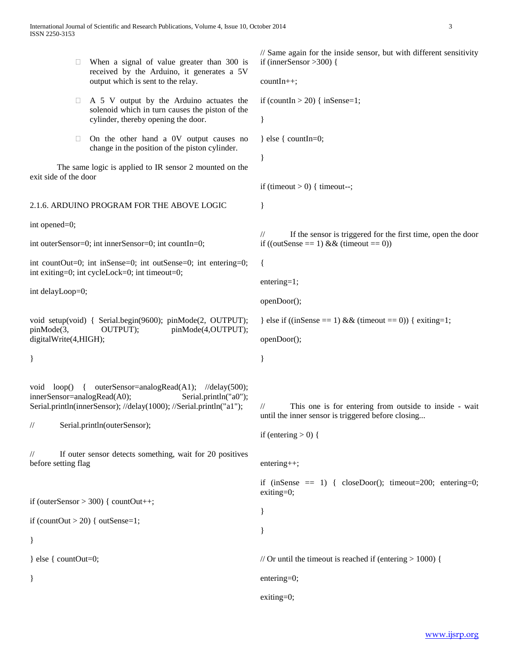| u                                                                                                                                   | When a signal of value greater than 300 is<br>received by the Arduino, it generates a 5V<br>output which is sent to the relay.                       | // Same again for the inside sensor, but with different sensitivity<br>if (innerSensor > 300) {                                                         |
|-------------------------------------------------------------------------------------------------------------------------------------|------------------------------------------------------------------------------------------------------------------------------------------------------|---------------------------------------------------------------------------------------------------------------------------------------------------------|
|                                                                                                                                     |                                                                                                                                                      | $countIn++;$                                                                                                                                            |
| $\Box$                                                                                                                              | A 5 V output by the Arduino actuates the<br>solenoid which in turn causes the piston of the<br>cylinder, thereby opening the door.                   | if (countIn > 20) { inSense=1;<br>}                                                                                                                     |
| u<br>exit side of the door                                                                                                          | On the other hand a 0V output causes no<br>change in the position of the piston cylinder.<br>The same logic is applied to IR sensor 2 mounted on the | $\}$ else { countIn=0;<br>}                                                                                                                             |
|                                                                                                                                     |                                                                                                                                                      | if (timeout $> 0$ ) { timeout--;                                                                                                                        |
| 2.1.6. ARDUINO PROGRAM FOR THE ABOVE LOGIC                                                                                          |                                                                                                                                                      | $\}$                                                                                                                                                    |
| int opened=0;<br>int outerSensor=0; int innerSensor=0; int countIn=0;                                                               |                                                                                                                                                      | If the sensor is triggered for the first time, open the door<br>$\frac{1}{2}$<br>if ((outSense == 1) & & (timeout == 0))                                |
| int count $Out=0$ ; int in $Sense=0$ ; int out $Sense=0$ ; int entering=0;<br>int exiting=0; int cycleLock=0; int timeout=0;        |                                                                                                                                                      | $\{$                                                                                                                                                    |
| int delayLoop=0;                                                                                                                    |                                                                                                                                                      | $entering=1;$<br>openDoor();                                                                                                                            |
| void setup(void) { Serial.begin(9600); pinMode(2, OUTPUT);<br>OUTPUT);<br>pinMode(4,OUTPUT);<br>pinMode(3,<br>digitalWrite(4,HIGH); |                                                                                                                                                      | } else if $((inSense == 1) & (inmeout == 0))$ { exiting=1;<br>openDoor();                                                                               |
| }                                                                                                                                   |                                                                                                                                                      | $\}$                                                                                                                                                    |
| void $loop()$<br>innerSensor=analogRead(A0);<br>$\frac{1}{2}$                                                                       | Serial.println("a0");<br>Serial.println(innerSensor); //delay(1000); //Serial.println("a1");<br>Serial.println(outerSensor);                         | This one is for entering from outside to inside - wait<br>$\frac{1}{2}$<br>until the inner sensor is triggered before closing<br>if (entering $> 0$ ) { |
| $\frac{1}{2}$<br>before setting flag                                                                                                | If outer sensor detects something, wait for 20 positives                                                                                             | $entering++;$                                                                                                                                           |
| if (countOut $>$ 20) { outSense=1;<br>$\}$                                                                                          | if (outerSensor $>$ 300) { countOut++;                                                                                                               | if (inSense $= 1$ ) { closeDoor(); timeout=200; entering=0;<br>$extting=0;$<br>$\}$                                                                     |
| $\}$ else { countOut=0;                                                                                                             |                                                                                                                                                      | // Or until the timeout is reached if (entering $> 1000$ ) {                                                                                            |
| $\}$                                                                                                                                |                                                                                                                                                      | entering=0;                                                                                                                                             |
|                                                                                                                                     |                                                                                                                                                      | exiting=0;                                                                                                                                              |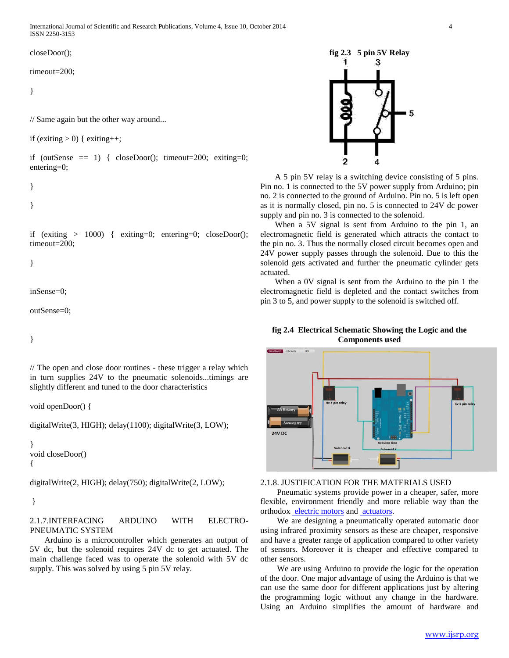International Journal of Scientific and Research Publications, Volume 4, Issue 10, October 2014 4 ISSN 2250-3153

closeDoor();

timeout=200;

}

// Same again but the other way around...

if (exiting  $> 0$ ) { exiting ++;

if (outSense  $= 1$ ) { closeDoor(); timeout=200; exiting=0; entering=0;

}

}

if (exiting  $> 1000$ ) { exiting=0; entering=0; closeDoor(); timeout=200;

}

```
inSense=0;
```
outSense=0;

}

// The open and close door routines - these trigger a relay which in turn supplies 24V to the pneumatic solenoids...timings are slightly different and tuned to the door characteristics

void openDoor() {

digitalWrite(3, HIGH); delay(1100); digitalWrite(3, LOW);

} void closeDoor() {

digitalWrite(2, HIGH); delay(750); digitalWrite(2, LOW);

}

# 2.1.7.INTERFACING ARDUINO WITH ELECTRO-PNEUMATIC SYSTEM

 Arduino is a microcontroller which generates an output of 5V dc, but the solenoid requires 24V dc to get actuated. The main challenge faced was to operate the solenoid with 5V dc supply. This was solved by using 5 pin 5V relay.

# **fig 2.3 5 pin 5V Relay** 1 з 5 2 4

 A 5 pin 5V relay is a switching device consisting of 5 pins. Pin no. 1 is connected to the 5V power supply from Arduino; pin no. 2 is connected to the ground of Arduino. Pin no. 5 is left open as it is normally closed, pin no. 5 is connected to 24V dc power supply and pin no. 3 is connected to the solenoid.

 When a 5V signal is sent from Arduino to the pin 1, an electromagnetic field is generated which attracts the contact to the pin no. 3. Thus the normally closed circuit becomes open and 24V power supply passes through the solenoid. Due to this the solenoid gets activated and further the pneumatic cylinder gets actuated.

 When a 0V signal is sent from the Arduino to the pin 1 the electromagnetic field is depleted and the contact switches from pin 3 to 5, and power supply to the solenoid is switched off.

**fig 2.4 Electrical Schematic Showing the Logic and the Components used**



# 2.1.8. JUSTIFICATION FOR THE MATERIALS USED

 Pneumatic systems provide power in a cheaper, safer, more flexible, environment friendly and more reliable way than the orthodox [electric motors](http://en.wikipedia.org/wiki/Electric_motor) and [actuators.](http://en.wikipedia.org/wiki/Actuator)

 We are designing a pneumatically operated automatic door using infrared proximity sensors as these are cheaper, responsive and have a greater range of application compared to other variety of sensors. Moreover it is cheaper and effective compared to other sensors.

 We are using Arduino to provide the logic for the operation of the door. One major advantage of using the Arduino is that we can use the same door for different applications just by altering the programming logic without any change in the hardware. Using an Arduino simplifies the amount of hardware and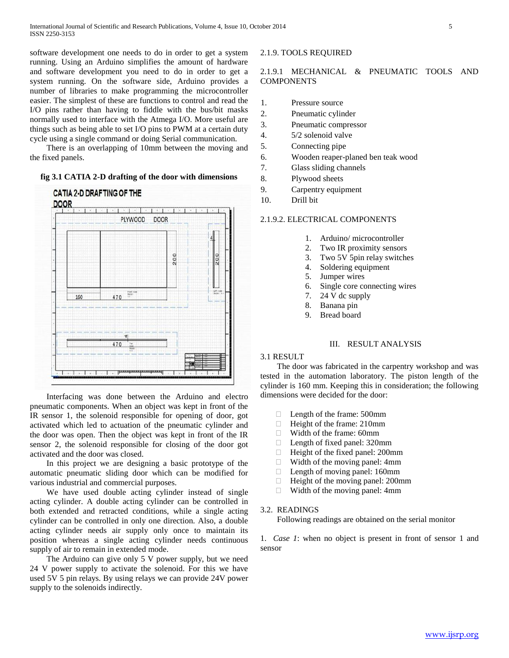software development one needs to do in order to get a system running. Using an Arduino simplifies the amount of hardware and software development you need to do in order to get a system running. On the software side, Arduino provides a number of libraries to make programming the microcontroller easier. The simplest of these are functions to control and read the I/O pins rather than having to fiddle with the bus/bit masks normally used to interface with the Atmega I/O. More useful are things such as being able to set I/O pins to PWM at a certain duty cycle using a single command or doing Serial communication.

 There is an overlapping of 10mm between the moving and the fixed panels.

### **fig 3.1 CATIA 2-D drafting of the door with dimensions**



 Interfacing was done between the Arduino and electro pneumatic components. When an object was kept in front of the IR sensor 1, the solenoid responsible for opening of door, got activated which led to actuation of the pneumatic cylinder and the door was open. Then the object was kept in front of the IR sensor 2, the solenoid responsible for closing of the door got activated and the door was closed.

 In this project we are designing a basic prototype of the automatic pneumatic sliding door which can be modified for various industrial and commercial purposes.

 We have used double acting cylinder instead of single acting cylinder. A double acting cylinder can be controlled in both extended and retracted conditions, while a single acting cylinder can be controlled in only one direction. Also, a double acting cylinder needs air supply only once to maintain its position whereas a single acting cylinder needs continuous supply of air to remain in extended mode.

 The Arduino can give only 5 V power supply, but we need 24 V power supply to activate the solenoid. For this we have used 5V 5 pin relays. By using relays we can provide 24V power supply to the solenoids indirectly.

# 2.1.9. TOOLS REQUIRED

# 2.1.9.1 MECHANICAL & PNEUMATIC TOOLS AND **COMPONENTS**

- 1. Pressure source
- 2. Pneumatic cylinder
- 3. Pneumatic compressor
- 4. 5/2 solenoid valve
- 5. Connecting pipe
- 6. Wooden reaper-planed ben teak wood
- 7. Glass sliding channels
- 8. Plywood sheets
- 9. Carpentry equipment
- 10. Drill bit

## 2.1.9.2. ELECTRICAL COMPONENTS

- 1. Arduino/ microcontroller
- 2. Two IR proximity sensors
- 3. Two 5V 5pin relay switches
- 4. Soldering equipment
- 5. Jumper wires
- 6. Single core connecting wires
- 7. 24 V dc supply
- 8. Banana pin
- 9. Bread board

### III. RESULT ANALYSIS

### 3.1 RESULT

 The door was fabricated in the carpentry workshop and was tested in the automation laboratory. The piston length of the cylinder is 160 mm. Keeping this in consideration; the following dimensions were decided for the door:

- □ Length of the frame: 500mm
- $\Box$  Height of the frame: 210mm
- Width of the frame: 60mm
- □ Length of fixed panel: 320mm
- $\Box$  Height of the fixed panel: 200mm
- □ Width of the moving panel: 4mm
- $\Box$  Length of moving panel: 160mm
- $\Box$  Height of the moving panel: 200mm
- □ Width of the moving panel: 4mm

### 3.2. READINGS

Following readings are obtained on the serial monitor

1. *Case 1*: when no object is present in front of sensor 1 and sensor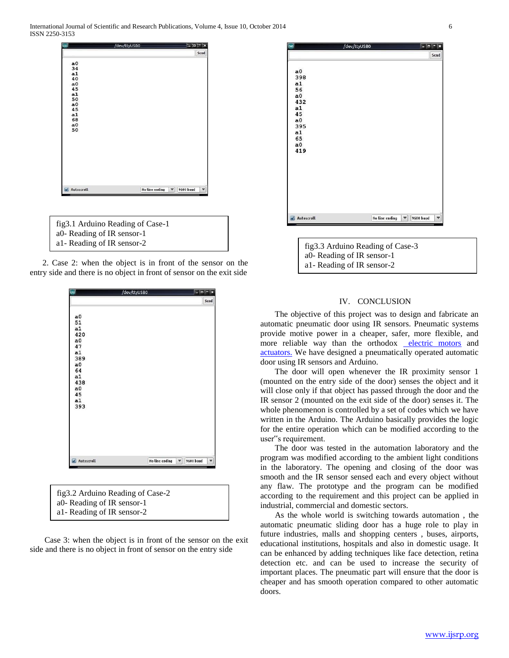

a0- Reading of IR sensor-1

a1- Reading of IR sensor-2





| fig3.2 Arduino Reading of Case-2 |
|----------------------------------|
| a0- Reading of IR sensor-1       |
| al - Reading of IR sensor-2      |

 Case 3: when the object is in front of the sensor on the exit side and there is no object in front of sensor on the entry side



a0- Reading of IR sensor-1 a1- Reading of IR sensor-2

## IV. CONCLUSION

 The objective of this project was to design and fabricate an automatic pneumatic door using IR sensors. Pneumatic systems provide motive power in a cheaper, safer, more flexible, and more reliable way than the orthodox [electric motors](http://en.wikipedia.org/wiki/Electric_motor) and [actuators.](http://en.wikipedia.org/wiki/Actuator) We have designed a pneumatically operated automatic door using IR sensors and Arduino.

 The door will open whenever the IR proximity sensor 1 (mounted on the entry side of the door) senses the object and it will close only if that object has passed through the door and the IR sensor 2 (mounted on the exit side of the door) senses it. The whole phenomenon is controlled by a set of codes which we have written in the Arduino. The Arduino basically provides the logic for the entire operation which can be modified according to the user"s requirement.

 The door was tested in the automation laboratory and the program was modified according to the ambient light conditions in the laboratory. The opening and closing of the door was smooth and the IR sensor sensed each and every object without any flaw. The prototype and the program can be modified according to the requirement and this project can be applied in industrial, commercial and domestic sectors.

 As the whole world is switching towards automation , the automatic pneumatic sliding door has a huge role to play in future industries, malls and shopping centers , buses, airports, educational institutions, hospitals and also in domestic usage. It can be enhanced by adding techniques like face detection, retina detection etc. and can be used to increase the security of important places. The pneumatic part will ensure that the door is cheaper and has smooth operation compared to other automatic doors.